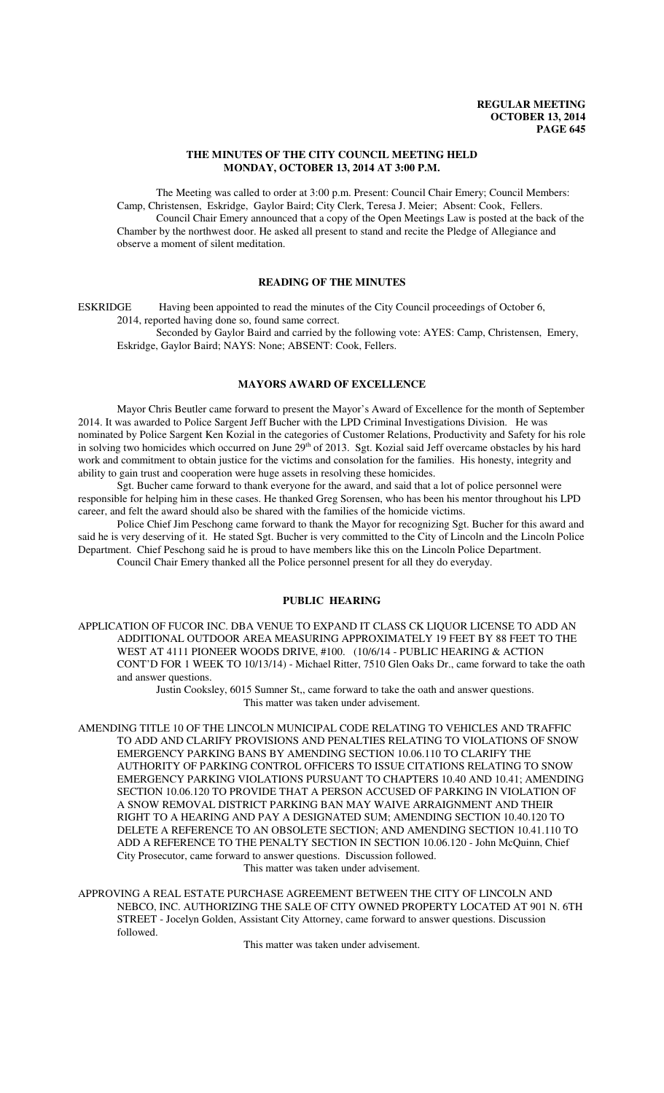## **THE MINUTES OF THE CITY COUNCIL MEETING HELD MONDAY, OCTOBER 13, 2014 AT 3:00 P.M.**

The Meeting was called to order at 3:00 p.m. Present: Council Chair Emery; Council Members: Camp, Christensen, Eskridge, Gaylor Baird; City Clerk, Teresa J. Meier; Absent: Cook, Fellers. Council Chair Emery announced that a copy of the Open Meetings Law is posted at the back of the Chamber by the northwest door. He asked all present to stand and recite the Pledge of Allegiance and observe a moment of silent meditation.

## **READING OF THE MINUTES**

ESKRIDGE Having been appointed to read the minutes of the City Council proceedings of October 6, 2014, reported having done so, found same correct.

Seconded by Gaylor Baird and carried by the following vote: AYES: Camp, Christensen, Emery, Eskridge, Gaylor Baird; NAYS: None; ABSENT: Cook, Fellers.

## **MAYORS AWARD OF EXCELLENCE**

Mayor Chris Beutler came forward to present the Mayor's Award of Excellence for the month of September 2014. It was awarded to Police Sargent Jeff Bucher with the LPD Criminal Investigations Division. He was nominated by Police Sargent Ken Kozial in the categories of Customer Relations, Productivity and Safety for his role in solving two homicides which occurred on June  $29<sup>th</sup>$  of 2013. Sgt. Kozial said Jeff overcame obstacles by his hard work and commitment to obtain justice for the victims and consolation for the families. His honesty, integrity and ability to gain trust and cooperation were huge assets in resolving these homicides.

Sgt. Bucher came forward to thank everyone for the award, and said that a lot of police personnel were responsible for helping him in these cases. He thanked Greg Sorensen, who has been his mentor throughout his LPD career, and felt the award should also be shared with the families of the homicide victims.

Police Chief Jim Peschong came forward to thank the Mayor for recognizing Sgt. Bucher for this award and said he is very deserving of it. He stated Sgt. Bucher is very committed to the City of Lincoln and the Lincoln Police Department. Chief Peschong said he is proud to have members like this on the Lincoln Police Department. Council Chair Emery thanked all the Police personnel present for all they do everyday.

## **PUBLIC HEARING**

APPLICATION OF FUCOR INC. DBA VENUE TO EXPAND IT CLASS CK LIQUOR LICENSE TO ADD AN ADDITIONAL OUTDOOR AREA MEASURING APPROXIMATELY 19 FEET BY 88 FEET TO THE WEST AT 4111 PIONEER WOODS DRIVE, #100. (10/6/14 - PUBLIC HEARING & ACTION CONT'D FOR 1 WEEK TO 10/13/14) - Michael Ritter, 7510 Glen Oaks Dr., came forward to take the oath and answer questions.

> Justin Cooksley, 6015 Sumner St,, came forward to take the oath and answer questions. This matter was taken under advisement.

AMENDING TITLE 10 OF THE LINCOLN MUNICIPAL CODE RELATING TO VEHICLES AND TRAFFIC TO ADD AND CLARIFY PROVISIONS AND PENALTIES RELATING TO VIOLATIONS OF SNOW EMERGENCY PARKING BANS BY AMENDING SECTION 10.06.110 TO CLARIFY THE AUTHORITY OF PARKING CONTROL OFFICERS TO ISSUE CITATIONS RELATING TO SNOW EMERGENCY PARKING VIOLATIONS PURSUANT TO CHAPTERS 10.40 AND 10.41; AMENDING SECTION 10.06.120 TO PROVIDE THAT A PERSON ACCUSED OF PARKING IN VIOLATION OF A SNOW REMOVAL DISTRICT PARKING BAN MAY WAIVE ARRAIGNMENT AND THEIR RIGHT TO A HEARING AND PAY A DESIGNATED SUM; AMENDING SECTION 10.40.120 TO DELETE A REFERENCE TO AN OBSOLETE SECTION; AND AMENDING SECTION 10.41.110 TO ADD A REFERENCE TO THE PENALTY SECTION IN SECTION 10.06.120 - John McQuinn, Chief City Prosecutor, came forward to answer questions. Discussion followed. This matter was taken under advisement.

APPROVING A REAL ESTATE PURCHASE AGREEMENT BETWEEN THE CITY OF LINCOLN AND NEBCO, INC. AUTHORIZING THE SALE OF CITY OWNED PROPERTY LOCATED AT 901 N. 6TH STREET - Jocelyn Golden, Assistant City Attorney, came forward to answer questions. Discussion followed.

This matter was taken under advisement.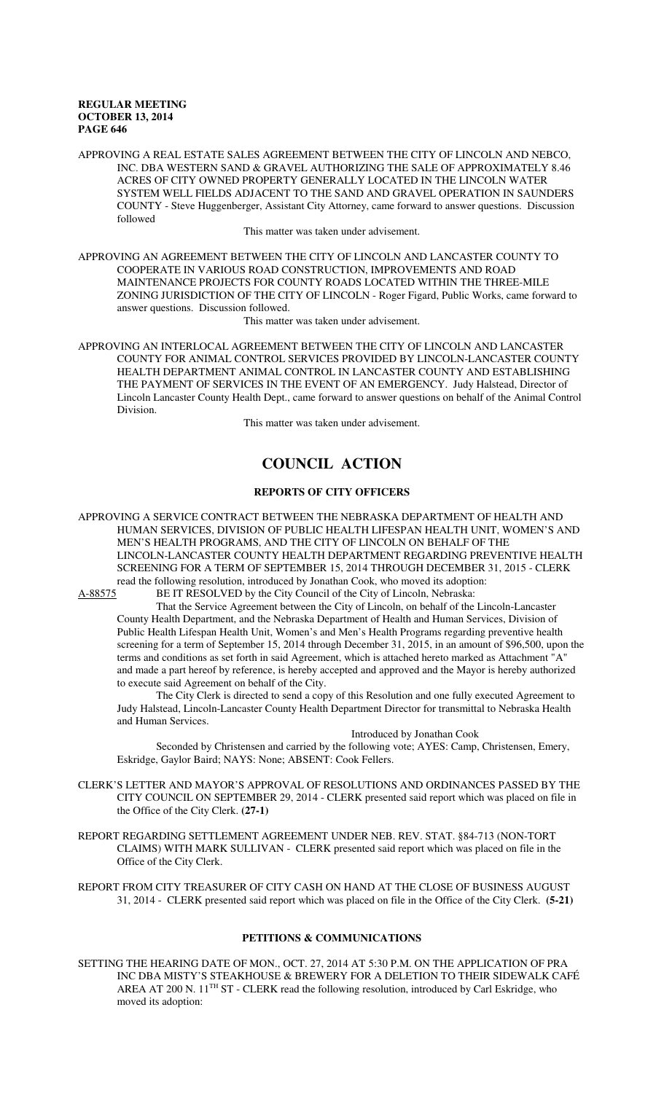APPROVING A REAL ESTATE SALES AGREEMENT BETWEEN THE CITY OF LINCOLN AND NEBCO, INC. DBA WESTERN SAND & GRAVEL AUTHORIZING THE SALE OF APPROXIMATELY 8.46 ACRES OF CITY OWNED PROPERTY GENERALLY LOCATED IN THE LINCOLN WATER SYSTEM WELL FIELDS ADJACENT TO THE SAND AND GRAVEL OPERATION IN SAUNDERS COUNTY - Steve Huggenberger, Assistant City Attorney, came forward to answer questions. Discussion followed

This matter was taken under advisement.

APPROVING AN AGREEMENT BETWEEN THE CITY OF LINCOLN AND LANCASTER COUNTY TO COOPERATE IN VARIOUS ROAD CONSTRUCTION, IMPROVEMENTS AND ROAD MAINTENANCE PROJECTS FOR COUNTY ROADS LOCATED WITHIN THE THREE-MILE ZONING JURISDICTION OF THE CITY OF LINCOLN - Roger Figard, Public Works, came forward to answer questions. Discussion followed.

This matter was taken under advisement.

APPROVING AN INTERLOCAL AGREEMENT BETWEEN THE CITY OF LINCOLN AND LANCASTER COUNTY FOR ANIMAL CONTROL SERVICES PROVIDED BY LINCOLN-LANCASTER COUNTY HEALTH DEPARTMENT ANIMAL CONTROL IN LANCASTER COUNTY AND ESTABLISHING THE PAYMENT OF SERVICES IN THE EVENT OF AN EMERGENCY. Judy Halstead, Director of Lincoln Lancaster County Health Dept., came forward to answer questions on behalf of the Animal Control Division.

This matter was taken under advisement.

# **COUNCIL ACTION**

## **REPORTS OF CITY OFFICERS**

APPROVING A SERVICE CONTRACT BETWEEN THE NEBRASKA DEPARTMENT OF HEALTH AND HUMAN SERVICES, DIVISION OF PUBLIC HEALTH LIFESPAN HEALTH UNIT, WOMEN'S AND MEN'S HEALTH PROGRAMS, AND THE CITY OF LINCOLN ON BEHALF OF THE LINCOLN-LANCASTER COUNTY HEALTH DEPARTMENT REGARDING PREVENTIVE HEALTH SCREENING FOR A TERM OF SEPTEMBER 15, 2014 THROUGH DECEMBER 31, 2015 - CLERK read the following resolution, introduced by Jonathan Cook, who moved its adoption:

A-88575 BE IT RESOLVED by the City Council of the City of Lincoln, Nebraska:

That the Service Agreement between the City of Lincoln, on behalf of the Lincoln-Lancaster County Health Department, and the Nebraska Department of Health and Human Services, Division of Public Health Lifespan Health Unit, Women's and Men's Health Programs regarding preventive health screening for a term of September 15, 2014 through December 31, 2015, in an amount of \$96,500, upon the terms and conditions as set forth in said Agreement, which is attached hereto marked as Attachment "A" and made a part hereof by reference, is hereby accepted and approved and the Mayor is hereby authorized to execute said Agreement on behalf of the City.

The City Clerk is directed to send a copy of this Resolution and one fully executed Agreement to Judy Halstead, Lincoln-Lancaster County Health Department Director for transmittal to Nebraska Health and Human Services.

## Introduced by Jonathan Cook

Seconded by Christensen and carried by the following vote; AYES: Camp, Christensen, Emery, Eskridge, Gaylor Baird; NAYS: None; ABSENT: Cook Fellers.

- CLERK'S LETTER AND MAYOR'S APPROVAL OF RESOLUTIONS AND ORDINANCES PASSED BY THE CITY COUNCIL ON SEPTEMBER 29, 2014 - CLERK presented said report which was placed on file in the Office of the City Clerk. **(27-1)**
- REPORT REGARDING SETTLEMENT AGREEMENT UNDER NEB. REV. STAT. §84-713 (NON-TORT CLAIMS) WITH MARK SULLIVAN - CLERK presented said report which was placed on file in the Office of the City Clerk.

REPORT FROM CITY TREASURER OF CITY CASH ON HAND AT THE CLOSE OF BUSINESS AUGUST 31, 2014 - CLERK presented said report which was placed on file in the Office of the City Clerk. **(5-21)** 

## **PETITIONS & COMMUNICATIONS**

SETTING THE HEARING DATE OF MON., OCT. 27, 2014 AT 5:30 P.M. ON THE APPLICATION OF PRA INC DBA MISTY'S STEAKHOUSE & BREWERY FOR A DELETION TO THEIR SIDEWALK CAFÉ AREA AT 200 N. 11<sup>TH</sup> ST - CLERK read the following resolution, introduced by Carl Eskridge, who moved its adoption: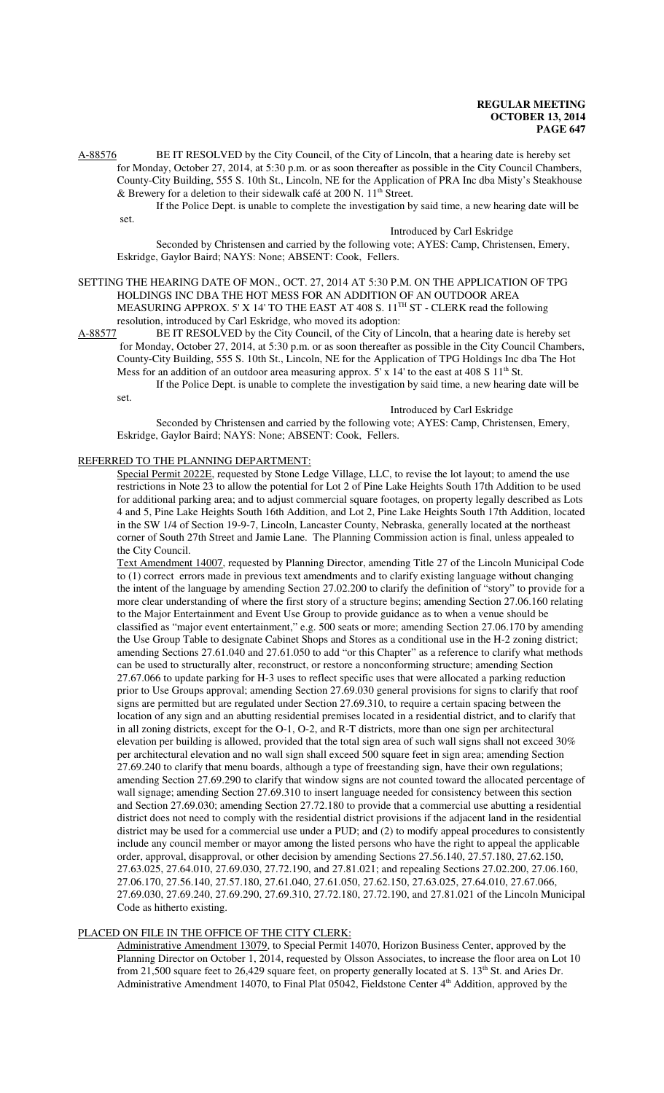A-88576 BE IT RESOLVED by the City Council, of the City of Lincoln, that a hearing date is hereby set for Monday, October 27, 2014, at 5:30 p.m. or as soon thereafter as possible in the City Council Chambers, County-City Building, 555 S. 10th St., Lincoln, NE for the Application of PRA Inc dba Misty's Steakhouse & Brewery for a deletion to their sidewalk café at 200 N.  $11<sup>th</sup>$  Street.

If the Police Dept. is unable to complete the investigation by said time, a new hearing date will be set.

## Introduced by Carl Eskridge

Seconded by Christensen and carried by the following vote; AYES: Camp, Christensen, Emery, Eskridge, Gaylor Baird; NAYS: None; ABSENT: Cook, Fellers.

## SETTING THE HEARING DATE OF MON., OCT. 27, 2014 AT 5:30 P.M. ON THE APPLICATION OF TPG HOLDINGS INC DBA THE HOT MESS FOR AN ADDITION OF AN OUTDOOR AREA MEASURING APPROX. 5' X 14' TO THE EAST AT 408 S. 11<sup>TH</sup> ST - CLERK read the following resolution, introduced by Carl Eskridge, who moved its adoption:

A-88577 BE IT RESOLVED by the City Council, of the City of Lincoln, that a hearing date is hereby set for Monday, October 27, 2014, at 5:30 p.m. or as soon thereafter as possible in the City Council Chambers, County-City Building, 555 S. 10th St., Lincoln, NE for the Application of TPG Holdings Inc dba The Hot Mess for an addition of an outdoor area measuring approx.  $5'$  x 14' to the east at 408 S  $11<sup>th</sup>$  St.

If the Police Dept. is unable to complete the investigation by said time, a new hearing date will be set.

### Introduced by Carl Eskridge

Seconded by Christensen and carried by the following vote; AYES: Camp, Christensen, Emery, Eskridge, Gaylor Baird; NAYS: None; ABSENT: Cook, Fellers.

## REFERRED TO THE PLANNING DEPARTMENT:

Special Permit 2022E, requested by Stone Ledge Village, LLC, to revise the lot layout; to amend the use restrictions in Note 23 to allow the potential for Lot 2 of Pine Lake Heights South 17th Addition to be used for additional parking area; and to adjust commercial square footages, on property legally described as Lots 4 and 5, Pine Lake Heights South 16th Addition, and Lot 2, Pine Lake Heights South 17th Addition, located in the SW 1/4 of Section 19-9-7, Lincoln, Lancaster County, Nebraska, generally located at the northeast corner of South 27th Street and Jamie Lane. The Planning Commission action is final, unless appealed to the City Council.

Text Amendment 14007, requested by Planning Director, amending Title 27 of the Lincoln Municipal Code to (1) correct errors made in previous text amendments and to clarify existing language without changing the intent of the language by amending Section 27.02.200 to clarify the definition of "story" to provide for a more clear understanding of where the first story of a structure begins; amending Section 27.06.160 relating to the Major Entertainment and Event Use Group to provide guidance as to when a venue should be classified as "major event entertainment," e.g. 500 seats or more; amending Section 27.06.170 by amending the Use Group Table to designate Cabinet Shops and Stores as a conditional use in the H-2 zoning district; amending Sections 27.61.040 and 27.61.050 to add "or this Chapter" as a reference to clarify what methods can be used to structurally alter, reconstruct, or restore a nonconforming structure; amending Section 27.67.066 to update parking for H-3 uses to reflect specific uses that were allocated a parking reduction prior to Use Groups approval; amending Section 27.69.030 general provisions for signs to clarify that roof signs are permitted but are regulated under Section 27.69.310, to require a certain spacing between the location of any sign and an abutting residential premises located in a residential district, and to clarify that in all zoning districts, except for the O-1, O-2, and R-T districts, more than one sign per architectural elevation per building is allowed, provided that the total sign area of such wall signs shall not exceed 30% per architectural elevation and no wall sign shall exceed 500 square feet in sign area; amending Section 27.69.240 to clarify that menu boards, although a type of freestanding sign, have their own regulations; amending Section 27.69.290 to clarify that window signs are not counted toward the allocated percentage of wall signage; amending Section 27.69.310 to insert language needed for consistency between this section and Section 27.69.030; amending Section 27.72.180 to provide that a commercial use abutting a residential district does not need to comply with the residential district provisions if the adjacent land in the residential district may be used for a commercial use under a PUD; and (2) to modify appeal procedures to consistently include any council member or mayor among the listed persons who have the right to appeal the applicable order, approval, disapproval, or other decision by amending Sections 27.56.140, 27.57.180, 27.62.150, 27.63.025, 27.64.010, 27.69.030, 27.72.190, and 27.81.021; and repealing Sections 27.02.200, 27.06.160, 27.06.170, 27.56.140, 27.57.180, 27.61.040, 27.61.050, 27.62.150, 27.63.025, 27.64.010, 27.67.066, 27.69.030, 27.69.240, 27.69.290, 27.69.310, 27.72.180, 27.72.190, and 27.81.021 of the Lincoln Municipal Code as hitherto existing.

#### PLACED ON FILE IN THE OFFICE OF THE CITY CLERK:

Administrative Amendment 13079, to Special Permit 14070, Horizon Business Center, approved by the Planning Director on October 1, 2014, requested by Olsson Associates, to increase the floor area on Lot 10 from 21,500 square feet to 26,429 square feet, on property generally located at S. 13<sup>th</sup> St. and Aries Dr. Administrative Amendment 14070, to Final Plat 05042, Fieldstone Center 4th Addition, approved by the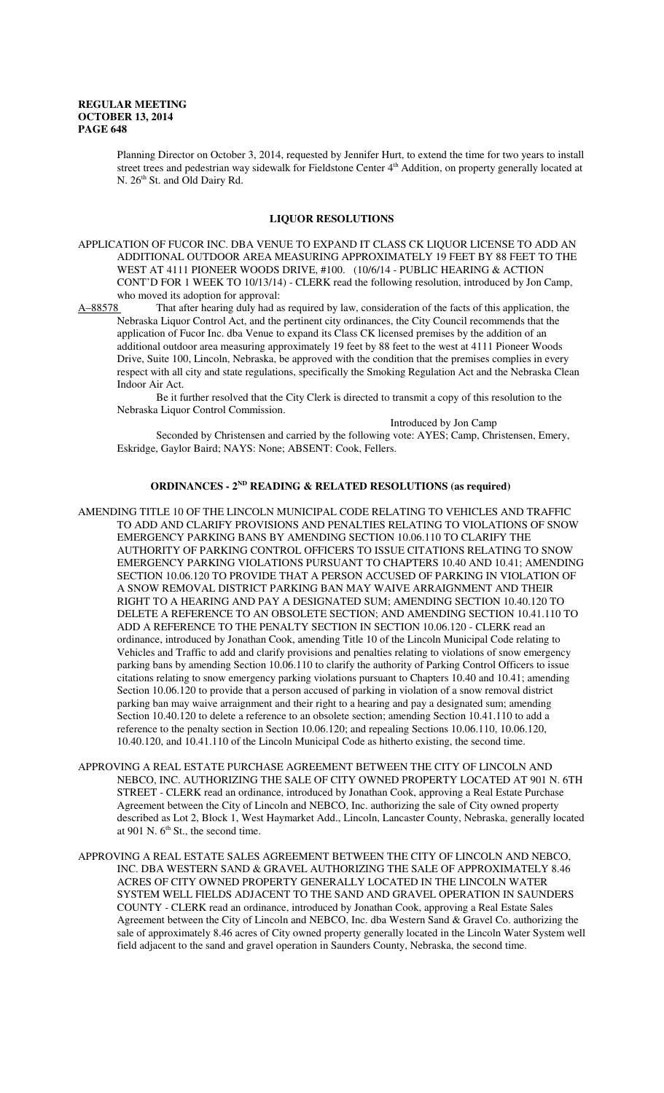Planning Director on October 3, 2014, requested by Jennifer Hurt, to extend the time for two years to install street trees and pedestrian way sidewalk for Fieldstone Center 4<sup>th</sup> Addition, on property generally located at N. 26<sup>th</sup> St. and Old Dairy Rd.

## **LIQUOR RESOLUTIONS**

APPLICATION OF FUCOR INC. DBA VENUE TO EXPAND IT CLASS CK LIQUOR LICENSE TO ADD AN ADDITIONAL OUTDOOR AREA MEASURING APPROXIMATELY 19 FEET BY 88 FEET TO THE WEST AT 4111 PIONEER WOODS DRIVE, #100. (10/6/14 - PUBLIC HEARING & ACTION CONT'D FOR 1 WEEK TO 10/13/14) - CLERK read the following resolution, introduced by Jon Camp, who moved its adoption for approval:

A–88578 That after hearing duly had as required by law, consideration of the facts of this application, the Nebraska Liquor Control Act, and the pertinent city ordinances, the City Council recommends that the application of Fucor Inc. dba Venue to expand its Class CK licensed premises by the addition of an additional outdoor area measuring approximately 19 feet by 88 feet to the west at 4111 Pioneer Woods Drive, Suite 100, Lincoln, Nebraska, be approved with the condition that the premises complies in every respect with all city and state regulations, specifically the Smoking Regulation Act and the Nebraska Clean Indoor Air Act.

Be it further resolved that the City Clerk is directed to transmit a copy of this resolution to the Nebraska Liquor Control Commission.

Introduced by Jon Camp

Seconded by Christensen and carried by the following vote: AYES; Camp, Christensen, Emery, Eskridge, Gaylor Baird; NAYS: None; ABSENT: Cook, Fellers.

## **ORDINANCES - 2ND READING & RELATED RESOLUTIONS (as required)**

- AMENDING TITLE 10 OF THE LINCOLN MUNICIPAL CODE RELATING TO VEHICLES AND TRAFFIC TO ADD AND CLARIFY PROVISIONS AND PENALTIES RELATING TO VIOLATIONS OF SNOW EMERGENCY PARKING BANS BY AMENDING SECTION 10.06.110 TO CLARIFY THE AUTHORITY OF PARKING CONTROL OFFICERS TO ISSUE CITATIONS RELATING TO SNOW EMERGENCY PARKING VIOLATIONS PURSUANT TO CHAPTERS 10.40 AND 10.41; AMENDING SECTION 10.06.120 TO PROVIDE THAT A PERSON ACCUSED OF PARKING IN VIOLATION OF A SNOW REMOVAL DISTRICT PARKING BAN MAY WAIVE ARRAIGNMENT AND THEIR RIGHT TO A HEARING AND PAY A DESIGNATED SUM; AMENDING SECTION 10.40.120 TO DELETE A REFERENCE TO AN OBSOLETE SECTION; AND AMENDING SECTION 10.41.110 TO ADD A REFERENCE TO THE PENALTY SECTION IN SECTION 10.06.120 - CLERK read an ordinance, introduced by Jonathan Cook, amending Title 10 of the Lincoln Municipal Code relating to Vehicles and Traffic to add and clarify provisions and penalties relating to violations of snow emergency parking bans by amending Section 10.06.110 to clarify the authority of Parking Control Officers to issue citations relating to snow emergency parking violations pursuant to Chapters 10.40 and 10.41; amending Section 10.06.120 to provide that a person accused of parking in violation of a snow removal district parking ban may waive arraignment and their right to a hearing and pay a designated sum; amending Section 10.40.120 to delete a reference to an obsolete section; amending Section 10.41.110 to add a reference to the penalty section in Section 10.06.120; and repealing Sections 10.06.110, 10.06.120, 10.40.120, and 10.41.110 of the Lincoln Municipal Code as hitherto existing, the second time.
- APPROVING A REAL ESTATE PURCHASE AGREEMENT BETWEEN THE CITY OF LINCOLN AND NEBCO, INC. AUTHORIZING THE SALE OF CITY OWNED PROPERTY LOCATED AT 901 N. 6TH STREET - CLERK read an ordinance, introduced by Jonathan Cook, approving a Real Estate Purchase Agreement between the City of Lincoln and NEBCO, Inc. authorizing the sale of City owned property described as Lot 2, Block 1, West Haymarket Add., Lincoln, Lancaster County, Nebraska, generally located at 901 N.  $6<sup>th</sup>$  St., the second time.
- APPROVING A REAL ESTATE SALES AGREEMENT BETWEEN THE CITY OF LINCOLN AND NEBCO, INC. DBA WESTERN SAND & GRAVEL AUTHORIZING THE SALE OF APPROXIMATELY 8.46 ACRES OF CITY OWNED PROPERTY GENERALLY LOCATED IN THE LINCOLN WATER SYSTEM WELL FIELDS ADJACENT TO THE SAND AND GRAVEL OPERATION IN SAUNDERS COUNTY - CLERK read an ordinance, introduced by Jonathan Cook, approving a Real Estate Sales Agreement between the City of Lincoln and NEBCO, Inc. dba Western Sand & Gravel Co. authorizing the sale of approximately 8.46 acres of City owned property generally located in the Lincoln Water System well field adjacent to the sand and gravel operation in Saunders County, Nebraska, the second time.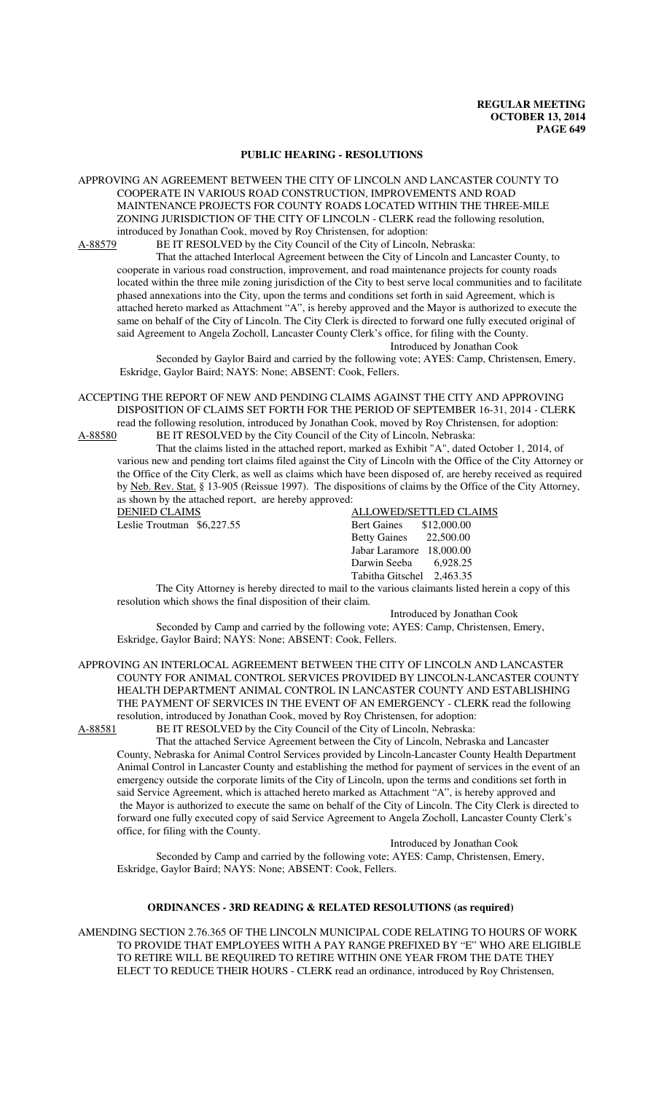## **PUBLIC HEARING - RESOLUTIONS**

APPROVING AN AGREEMENT BETWEEN THE CITY OF LINCOLN AND LANCASTER COUNTY TO COOPERATE IN VARIOUS ROAD CONSTRUCTION, IMPROVEMENTS AND ROAD MAINTENANCE PROJECTS FOR COUNTY ROADS LOCATED WITHIN THE THREE-MILE ZONING JURISDICTION OF THE CITY OF LINCOLN - CLERK read the following resolution, introduced by Jonathan Cook, moved by Roy Christensen, for adoption:

A-88579 BE IT RESOLVED by the City Council of the City of Lincoln, Nebraska:

That the attached Interlocal Agreement between the City of Lincoln and Lancaster County, to cooperate in various road construction, improvement, and road maintenance projects for county roads located within the three mile zoning jurisdiction of the City to best serve local communities and to facilitate phased annexations into the City, upon the terms and conditions set forth in said Agreement, which is attached hereto marked as Attachment "A", is hereby approved and the Mayor is authorized to execute the same on behalf of the City of Lincoln. The City Clerk is directed to forward one fully executed original of said Agreement to Angela Zocholl, Lancaster County Clerk's office, for filing with the County. Introduced by Jonathan Cook

Seconded by Gaylor Baird and carried by the following vote; AYES: Camp, Christensen, Emery, Eskridge, Gaylor Baird; NAYS: None; ABSENT: Cook, Fellers.

ACCEPTING THE REPORT OF NEW AND PENDING CLAIMS AGAINST THE CITY AND APPROVING DISPOSITION OF CLAIMS SET FORTH FOR THE PERIOD OF SEPTEMBER 16-31, 2014 - CLERK read the following resolution, introduced by Jonathan Cook, moved by Roy Christensen, for adoption: A-88580 BE IT RESOLVED by the City Council of the City of Lincoln, Nebraska:

That the claims listed in the attached report, marked as Exhibit "A", dated October 1, 2014, of various new and pending tort claims filed against the City of Lincoln with the Office of the City Attorney or the Office of the City Clerk, as well as claims which have been disposed of, are hereby received as required by Neb. Rev. Stat. § 13-905 (Reissue 1997). The dispositions of claims by the Office of the City Attorney, as shown by the attached report, are hereby approved:

| <b>DENIED CLAIMS</b>        | ALLOWED/SETTLED CLAIMS         |
|-----------------------------|--------------------------------|
| Leslie Troutman $$6,227.55$ | <b>Bert Gaines</b> \$12,000.00 |
|                             | Betty Gaines 22,500.00         |
|                             | Jabar Laramore 18,000.00       |
|                             | Darwin Seeba 6,928.25          |
|                             | Tabitha Gitschel 2,463.35      |

The City Attorney is hereby directed to mail to the various claimants listed herein a copy of this resolution which shows the final disposition of their claim.

Introduced by Jonathan Cook

Seconded by Camp and carried by the following vote; AYES: Camp, Christensen, Emery, Eskridge, Gaylor Baird; NAYS: None; ABSENT: Cook, Fellers.

APPROVING AN INTERLOCAL AGREEMENT BETWEEN THE CITY OF LINCOLN AND LANCASTER COUNTY FOR ANIMAL CONTROL SERVICES PROVIDED BY LINCOLN-LANCASTER COUNTY HEALTH DEPARTMENT ANIMAL CONTROL IN LANCASTER COUNTY AND ESTABLISHING THE PAYMENT OF SERVICES IN THE EVENT OF AN EMERGENCY - CLERK read the following resolution, introduced by Jonathan Cook, moved by Roy Christensen, for adoption:

A-88581 BE IT RESOLVED by the City Council of the City of Lincoln, Nebraska:

That the attached Service Agreement between the City of Lincoln, Nebraska and Lancaster County, Nebraska for Animal Control Services provided by Lincoln-Lancaster County Health Department Animal Control in Lancaster County and establishing the method for payment of services in the event of an emergency outside the corporate limits of the City of Lincoln, upon the terms and conditions set forth in said Service Agreement, which is attached hereto marked as Attachment "A", is hereby approved and the Mayor is authorized to execute the same on behalf of the City of Lincoln. The City Clerk is directed to forward one fully executed copy of said Service Agreement to Angela Zocholl, Lancaster County Clerk's office, for filing with the County.

Introduced by Jonathan Cook

Seconded by Camp and carried by the following vote; AYES: Camp, Christensen, Emery, Eskridge, Gaylor Baird; NAYS: None; ABSENT: Cook, Fellers.

## **ORDINANCES - 3RD READING & RELATED RESOLUTIONS (as required)**

AMENDING SECTION 2.76.365 OF THE LINCOLN MUNICIPAL CODE RELATING TO HOURS OF WORK TO PROVIDE THAT EMPLOYEES WITH A PAY RANGE PREFIXED BY "E" WHO ARE ELIGIBLE TO RETIRE WILL BE REQUIRED TO RETIRE WITHIN ONE YEAR FROM THE DATE THEY ELECT TO REDUCE THEIR HOURS - CLERK read an ordinance, introduced by Roy Christensen,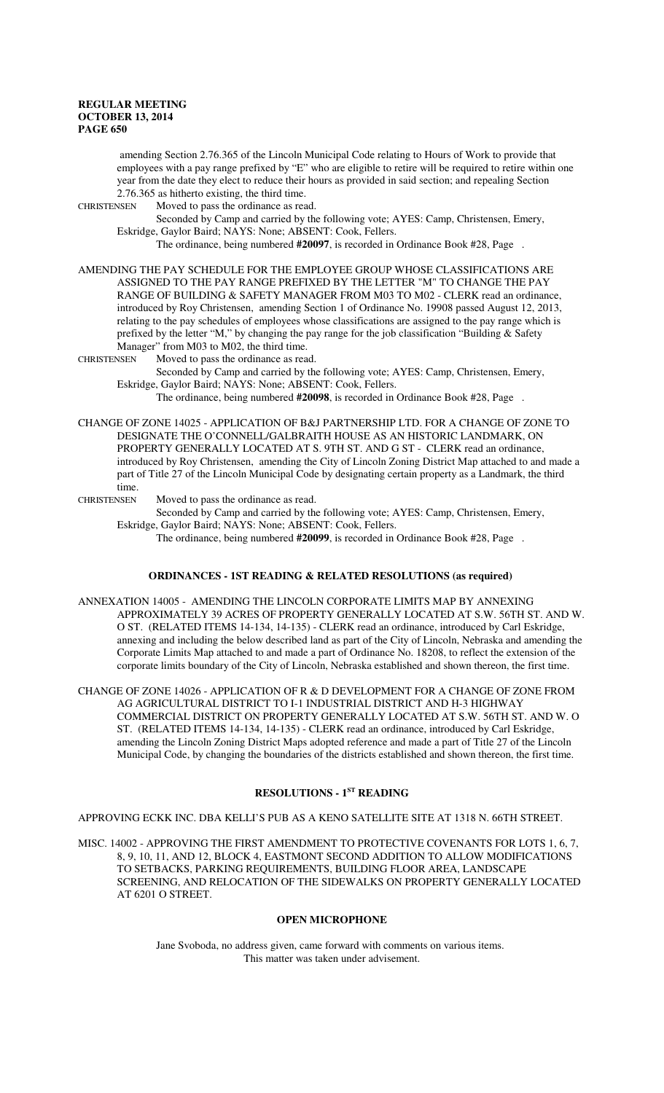amending Section 2.76.365 of the Lincoln Municipal Code relating to Hours of Work to provide that employees with a pay range prefixed by "E" who are eligible to retire will be required to retire within one year from the date they elect to reduce their hours as provided in said section; and repealing Section 2.76.365 as hitherto existing, the third time.

CHRISTENSEN Moved to pass the ordinance as read.

Seconded by Camp and carried by the following vote; AYES: Camp, Christensen, Emery, Eskridge, Gaylor Baird; NAYS: None; ABSENT: Cook, Fellers.

The ordinance, being numbered **#20097**, is recorded in Ordinance Book #28, Page .

AMENDING THE PAY SCHEDULE FOR THE EMPLOYEE GROUP WHOSE CLASSIFICATIONS ARE ASSIGNED TO THE PAY RANGE PREFIXED BY THE LETTER "M" TO CHANGE THE PAY RANGE OF BUILDING & SAFETY MANAGER FROM M03 TO M02 - CLERK read an ordinance, introduced by Roy Christensen, amending Section 1 of Ordinance No. 19908 passed August 12, 2013, relating to the pay schedules of employees whose classifications are assigned to the pay range which is prefixed by the letter "M," by changing the pay range for the job classification "Building & Safety Manager" from M03 to M02, the third time.

CHRISTENSEN Moved to pass the ordinance as read.

Seconded by Camp and carried by the following vote; AYES: Camp, Christensen, Emery, Eskridge, Gaylor Baird; NAYS: None; ABSENT: Cook, Fellers.

The ordinance, being numbered **#20098**, is recorded in Ordinance Book #28, Page .

CHANGE OF ZONE 14025 - APPLICATION OF B&J PARTNERSHIP LTD. FOR A CHANGE OF ZONE TO DESIGNATE THE O'CONNELL/GALBRAITH HOUSE AS AN HISTORIC LANDMARK, ON PROPERTY GENERALLY LOCATED AT S. 9TH ST. AND G ST - CLERK read an ordinance, introduced by Roy Christensen, amending the City of Lincoln Zoning District Map attached to and made a part of Title 27 of the Lincoln Municipal Code by designating certain property as a Landmark, the third time.

CHRISTENSEN Moved to pass the ordinance as read.

Seconded by Camp and carried by the following vote; AYES: Camp, Christensen, Emery, Eskridge, Gaylor Baird; NAYS: None; ABSENT: Cook, Fellers.

The ordinance, being numbered **#20099**, is recorded in Ordinance Book #28, Page .

## **ORDINANCES - 1ST READING & RELATED RESOLUTIONS (as required)**

ANNEXATION 14005 - AMENDING THE LINCOLN CORPORATE LIMITS MAP BY ANNEXING APPROXIMATELY 39 ACRES OF PROPERTY GENERALLY LOCATED AT S.W. 56TH ST. AND W. O ST. (RELATED ITEMS 14-134, 14-135) - CLERK read an ordinance, introduced by Carl Eskridge, annexing and including the below described land as part of the City of Lincoln, Nebraska and amending the Corporate Limits Map attached to and made a part of Ordinance No. 18208, to reflect the extension of the corporate limits boundary of the City of Lincoln, Nebraska established and shown thereon, the first time.

CHANGE OF ZONE 14026 - APPLICATION OF R & D DEVELOPMENT FOR A CHANGE OF ZONE FROM AG AGRICULTURAL DISTRICT TO I-1 INDUSTRIAL DISTRICT AND H-3 HIGHWAY COMMERCIAL DISTRICT ON PROPERTY GENERALLY LOCATED AT S.W. 56TH ST. AND W. O ST. (RELATED ITEMS 14-134, 14-135) - CLERK read an ordinance, introduced by Carl Eskridge, amending the Lincoln Zoning District Maps adopted reference and made a part of Title 27 of the Lincoln Municipal Code, by changing the boundaries of the districts established and shown thereon, the first time.

## **RESOLUTIONS - 1ST READING**

APPROVING ECKK INC. DBA KELLI'S PUB AS A KENO SATELLITE SITE AT 1318 N. 66TH STREET.

MISC. 14002 - APPROVING THE FIRST AMENDMENT TO PROTECTIVE COVENANTS FOR LOTS 1, 6, 7, 8, 9, 10, 11, AND 12, BLOCK 4, EASTMONT SECOND ADDITION TO ALLOW MODIFICATIONS TO SETBACKS, PARKING REQUIREMENTS, BUILDING FLOOR AREA, LANDSCAPE SCREENING, AND RELOCATION OF THE SIDEWALKS ON PROPERTY GENERALLY LOCATED AT 6201 O STREET.

## **OPEN MICROPHONE**

Jane Svoboda, no address given, came forward with comments on various items. This matter was taken under advisement.